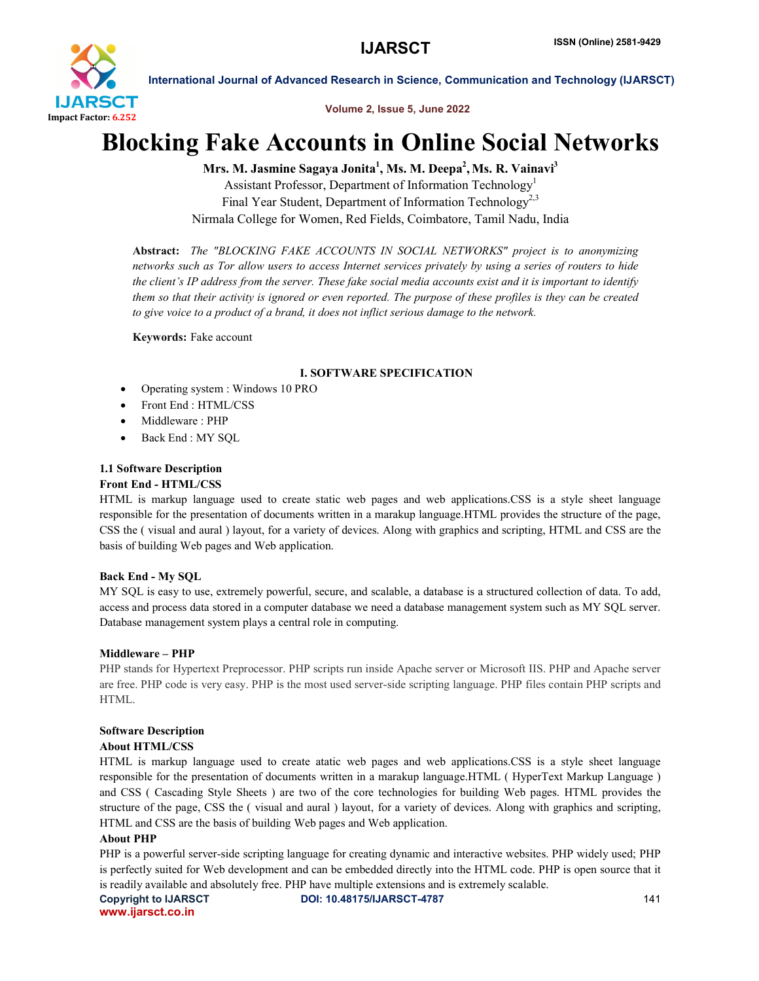

Volume 2, Issue 5, June 2022

# Blocking Fake Accounts in Online Social Networks

Mrs. M. Jasmine Sagaya Jonita<sup>1</sup>, Ms. M. Deepa<sup>2</sup>, Ms. R. Vainavi<sup>3</sup>

Assistant Professor, Department of Information Technology<sup>1</sup> Final Year Student, Department of Information Technology<sup>2,3</sup> Nirmala College for Women, Red Fields, Coimbatore, Tamil Nadu, India

Abstract: *The "BLOCKING FAKE ACCOUNTS IN SOCIAL NETWORKS" project is to anonymizing networks such as Tor allow users to access Internet services privately by using a series of routers to hide the client's IP address from the server. These fake social media accounts exist and it is important to identify them so that their activity is ignored or even reported. The purpose of these profiles is they can be created to give voice to a product of a brand, it does not inflict serious damage to the network.*

Keywords: Fake account

# I. SOFTWARE SPECIFICATION

- Operating system : Windows 10 PRO
- Front End : HTML/CSS
- Middleware : PHP
- Back End : MY SQL

# 1.1 Software Description

# Front End - HTML/CSS

HTML is markup language used to create static web pages and web applications.CSS is a style sheet language responsible for the presentation of documents written in a marakup language.HTML provides the structure of the page, CSS the ( visual and aural ) layout, for a variety of devices. Along with graphics and scripting, HTML and CSS are the basis of building Web pages and Web application.

### Back End - My SQL

MY SQL is easy to use, extremely powerful, secure, and scalable, a database is a structured collection of data. To add, access and process data stored in a computer database we need a database management system such as MY SQL server. Database management system plays a central role in computing.

### Middleware – PHP

PHP stands for Hypertext Preprocessor. PHP scripts run inside Apache server or Microsoft IIS. PHP and Apache server are free. PHP code is very easy. PHP is the most used server-side scripting language. PHP files contain PHP scripts and HTML.

### Software Description

# About HTML/CSS

HTML is markup language used to create atatic web pages and web applications.CSS is a style sheet language responsible for the presentation of documents written in a marakup language.HTML ( HyperText Markup Language ) and CSS ( Cascading Style Sheets ) are two of the core technologies for building Web pages. HTML provides the structure of the page, CSS the ( visual and aural ) layout, for a variety of devices. Along with graphics and scripting, HTML and CSS are the basis of building Web pages and Web application.

### About PHP

PHP is a powerful server-side scripting language for creating dynamic and interactive websites. PHP widely used; PHP is perfectly suited for Web development and can be embedded directly into the HTML code. PHP is open source that it is readily available and absolutely free. PHP have multiple extensions and is extremely scalable.

www.ijarsct.co.in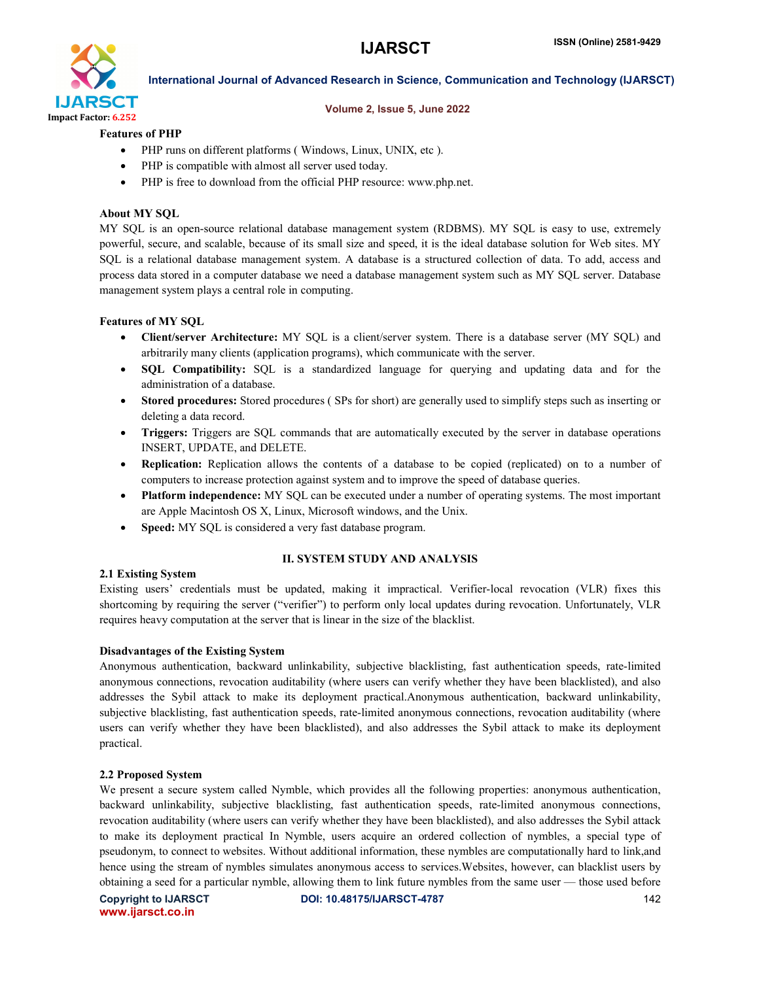

#### Volume 2, Issue 5, June 2022

### Features of PHP

- PHP runs on different platforms ( Windows, Linux, UNIX, etc ).
- PHP is compatible with almost all server used today.
- PHP is free to download from the official PHP resource: www.php.net.

### About MY SQL

MY SQL is an open-source relational database management system (RDBMS). MY SQL is easy to use, extremely powerful, secure, and scalable, because of its small size and speed, it is the ideal database solution for Web sites. MY SQL is a relational database management system. A database is a structured collection of data. To add, access and process data stored in a computer database we need a database management system such as MY SQL server. Database management system plays a central role in computing.

#### Features of MY SQL

- Client/server Architecture: MY SQL is a client/server system. There is a database server (MY SQL) and arbitrarily many clients (application programs), which communicate with the server.
- SQL Compatibility: SQL is a standardized language for querying and updating data and for the administration of a database.
- Stored procedures: Stored procedures ( SPs for short) are generally used to simplify steps such as inserting or deleting a data record.
- Triggers: Triggers are SQL commands that are automatically executed by the server in database operations INSERT, UPDATE, and DELETE.
- Replication: Replication allows the contents of a database to be copied (replicated) on to a number of computers to increase protection against system and to improve the speed of database queries.
- Platform independence: MY SQL can be executed under a number of operating systems. The most important are Apple Macintosh OS X, Linux, Microsoft windows, and the Unix.
- Speed: MY SQL is considered a very fast database program.

### II. SYSTEM STUDY AND ANALYSIS

### 2.1 Existing System

Existing users' credentials must be updated, making it impractical. Verifier-local revocation (VLR) fixes this shortcoming by requiring the server ("verifier") to perform only local updates during revocation. Unfortunately, VLR requires heavy computation at the server that is linear in the size of the blacklist.

#### Disadvantages of the Existing System

Anonymous authentication, backward unlinkability, subjective blacklisting, fast authentication speeds, rate-limited anonymous connections, revocation auditability (where users can verify whether they have been blacklisted), and also addresses the Sybil attack to make its deployment practical.Anonymous authentication, backward unlinkability, subjective blacklisting, fast authentication speeds, rate-limited anonymous connections, revocation auditability (where users can verify whether they have been blacklisted), and also addresses the Sybil attack to make its deployment practical.

#### 2.2 Proposed System

We present a secure system called Nymble, which provides all the following properties: anonymous authentication, backward unlinkability, subjective blacklisting, fast authentication speeds, rate-limited anonymous connections, revocation auditability (where users can verify whether they have been blacklisted), and also addresses the Sybil attack to make its deployment practical In Nymble, users acquire an ordered collection of nymbles, a special type of pseudonym, to connect to websites. Without additional information, these nymbles are computationally hard to link,and hence using the stream of nymbles simulates anonymous access to services.Websites, however, can blacklist users by obtaining a seed for a particular nymble, allowing them to link future nymbles from the same user — those used before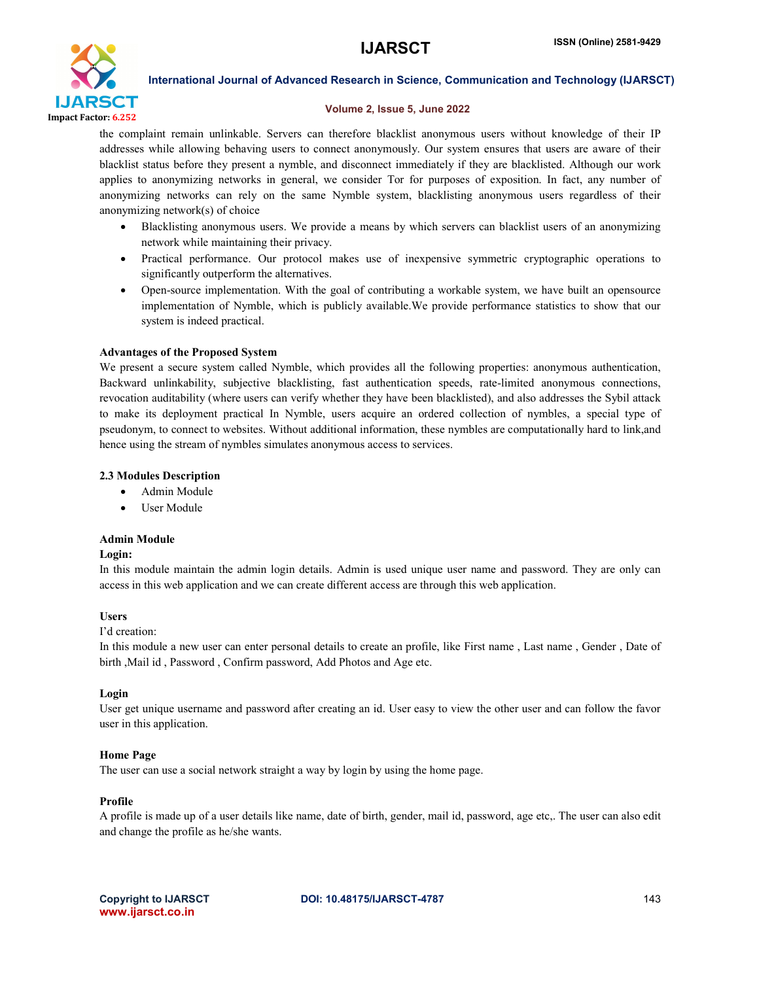

#### Volume 2, Issue 5, June 2022

the complaint remain unlinkable. Servers can therefore blacklist anonymous users without knowledge of their IP addresses while allowing behaving users to connect anonymously. Our system ensures that users are aware of their blacklist status before they present a nymble, and disconnect immediately if they are blacklisted. Although our work applies to anonymizing networks in general, we consider Tor for purposes of exposition. In fact, any number of anonymizing networks can rely on the same Nymble system, blacklisting anonymous users regardless of their anonymizing network(s) of choice

- Blacklisting anonymous users. We provide a means by which servers can blacklist users of an anonymizing network while maintaining their privacy.
- Practical performance. Our protocol makes use of inexpensive symmetric cryptographic operations to significantly outperform the alternatives.
- Open-source implementation. With the goal of contributing a workable system, we have built an opensource implementation of Nymble, which is publicly available.We provide performance statistics to show that our system is indeed practical.

#### Advantages of the Proposed System

We present a secure system called Nymble, which provides all the following properties: anonymous authentication, Backward unlinkability, subjective blacklisting, fast authentication speeds, rate-limited anonymous connections, revocation auditability (where users can verify whether they have been blacklisted), and also addresses the Sybil attack to make its deployment practical In Nymble, users acquire an ordered collection of nymbles, a special type of pseudonym, to connect to websites. Without additional information, these nymbles are computationally hard to link,and hence using the stream of nymbles simulates anonymous access to services.

#### 2.3 Modules Description

- Admin Module
- User Module

#### Admin Module

#### Login:

In this module maintain the admin login details. Admin is used unique user name and password. They are only can access in this web application and we can create different access are through this web application.

#### Users

#### I'd creation:

In this module a new user can enter personal details to create an profile, like First name , Last name , Gender , Date of birth ,Mail id , Password , Confirm password, Add Photos and Age etc.

#### Login

User get unique username and password after creating an id. User easy to view the other user and can follow the favor user in this application.

#### Home Page

The user can use a social network straight a way by login by using the home page.

#### Profile

A profile is made up of a user details like name, date of birth, gender, mail id, password, age etc,. The user can also edit and change the profile as he/she wants.